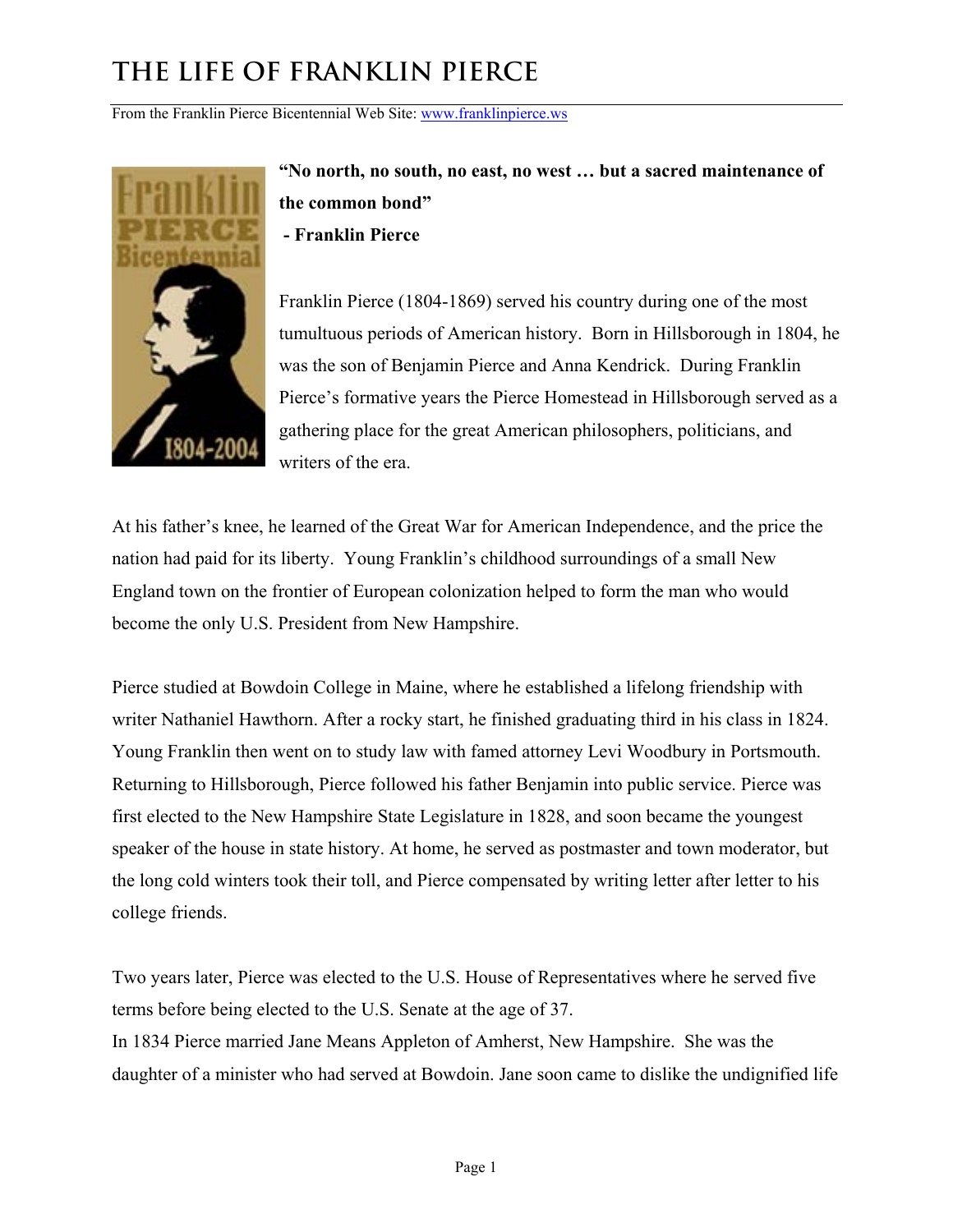From the Franklin Pierce Bicentennial Web Site: www.franklinpierce.ws



**"No north, no south, no east, no west … but a sacred maintenance of the common bond" - Franklin Pierce** 

Franklin Pierce (1804-1869) served his country during one of the most tumultuous periods of American history. Born in Hillsborough in 1804, he was the son of Benjamin Pierce and Anna Kendrick. During Franklin Pierce's formative years the Pierce Homestead in Hillsborough served as a gathering place for the great American philosophers, politicians, and writers of the era.

At his father's knee, he learned of the Great War for American Independence, and the price the nation had paid for its liberty. Young Franklin's childhood surroundings of a small New England town on the frontier of European colonization helped to form the man who would become the only U.S. President from New Hampshire.

Pierce studied at Bowdoin College in Maine, where he established a lifelong friendship with writer Nathaniel Hawthorn. After a rocky start, he finished graduating third in his class in 1824. Young Franklin then went on to study law with famed attorney Levi Woodbury in Portsmouth. Returning to Hillsborough, Pierce followed his father Benjamin into public service. Pierce was first elected to the New Hampshire State Legislature in 1828, and soon became the youngest speaker of the house in state history. At home, he served as postmaster and town moderator, but the long cold winters took their toll, and Pierce compensated by writing letter after letter to his college friends.

Two years later, Pierce was elected to the U.S. House of Representatives where he served five terms before being elected to the U.S. Senate at the age of 37. In 1834 Pierce married Jane Means Appleton of Amherst, New Hampshire. She was the daughter of a minister who had served at Bowdoin. Jane soon came to dislike the undignified life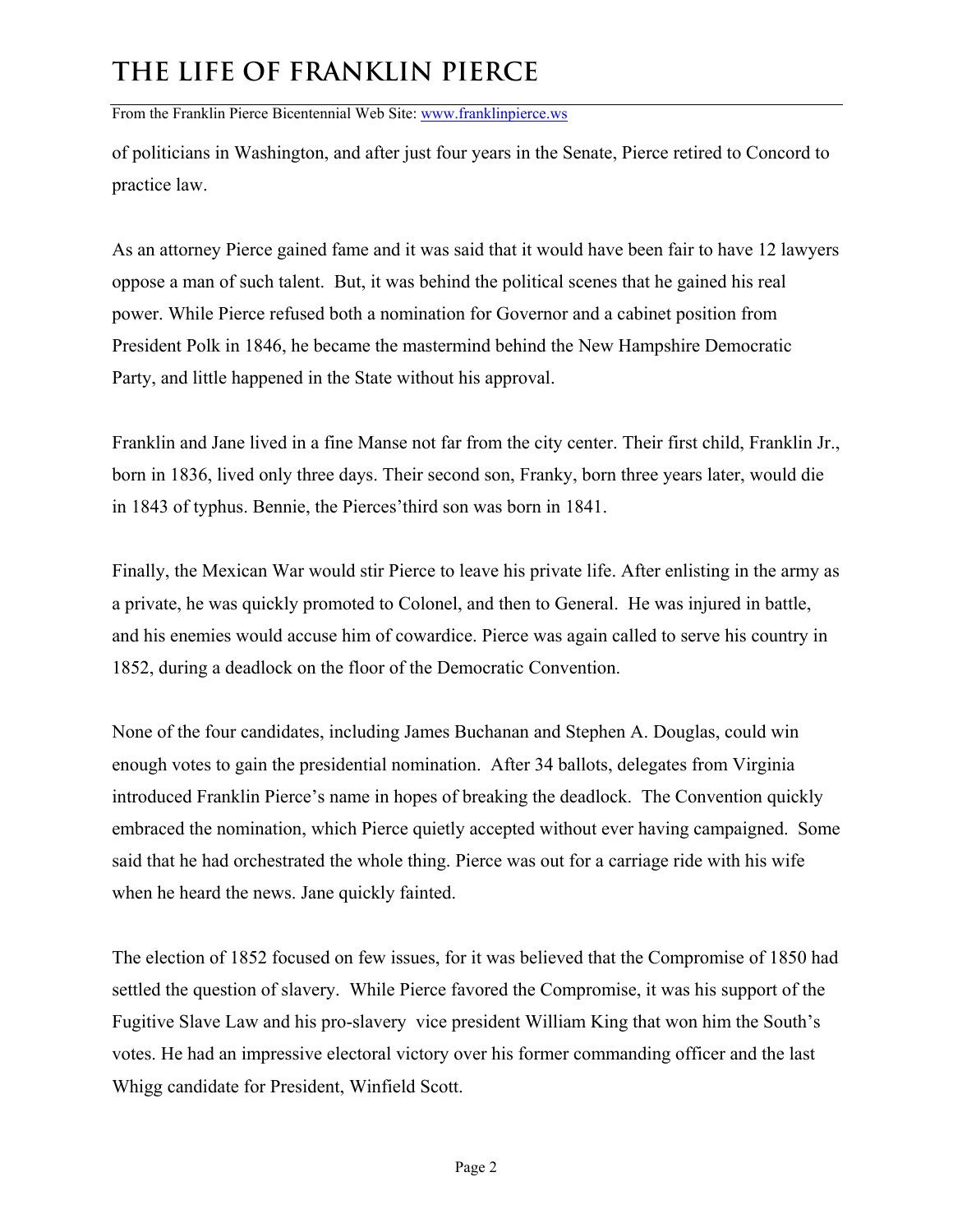From the Franklin Pierce Bicentennial Web Site: www.franklinpierce.ws

of politicians in Washington, and after just four years in the Senate, Pierce retired to Concord to practice law.

As an attorney Pierce gained fame and it was said that it would have been fair to have 12 lawyers oppose a man of such talent. But, it was behind the political scenes that he gained his real power. While Pierce refused both a nomination for Governor and a cabinet position from President Polk in 1846, he became the mastermind behind the New Hampshire Democratic Party, and little happened in the State without his approval.

Franklin and Jane lived in a fine Manse not far from the city center. Their first child, Franklin Jr., born in 1836, lived only three days. Their second son, Franky, born three years later, would die in 1843 of typhus. Bennie, the Pierces'third son was born in 1841.

Finally, the Mexican War would stir Pierce to leave his private life. After enlisting in the army as a private, he was quickly promoted to Colonel, and then to General. He was injured in battle, and his enemies would accuse him of cowardice. Pierce was again called to serve his country in 1852, during a deadlock on the floor of the Democratic Convention.

None of the four candidates, including James Buchanan and Stephen A. Douglas, could win enough votes to gain the presidential nomination. After 34 ballots, delegates from Virginia introduced Franklin Pierce's name in hopes of breaking the deadlock. The Convention quickly embraced the nomination, which Pierce quietly accepted without ever having campaigned. Some said that he had orchestrated the whole thing. Pierce was out for a carriage ride with his wife when he heard the news. Jane quickly fainted.

The election of 1852 focused on few issues, for it was believed that the Compromise of 1850 had settled the question of slavery. While Pierce favored the Compromise, it was his support of the Fugitive Slave Law and his pro-slavery vice president William King that won him the South's votes. He had an impressive electoral victory over his former commanding officer and the last Whigg candidate for President, Winfield Scott.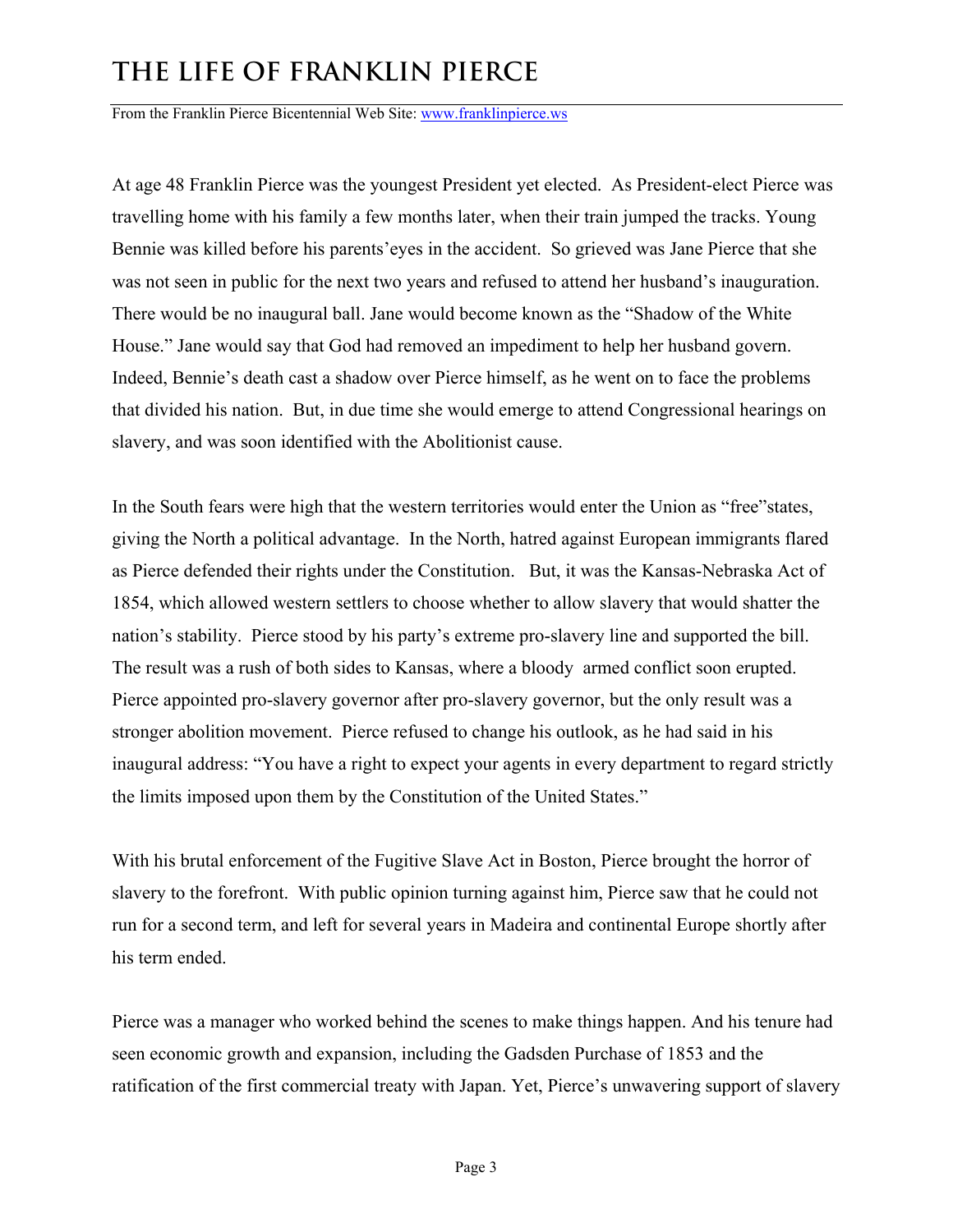From the Franklin Pierce Bicentennial Web Site: www.franklinpierce.ws

At age 48 Franklin Pierce was the youngest President yet elected. As President-elect Pierce was travelling home with his family a few months later, when their train jumped the tracks. Young Bennie was killed before his parents'eyes in the accident. So grieved was Jane Pierce that she was not seen in public for the next two years and refused to attend her husband's inauguration. There would be no inaugural ball. Jane would become known as the "Shadow of the White House." Jane would say that God had removed an impediment to help her husband govern. Indeed, Bennie's death cast a shadow over Pierce himself, as he went on to face the problems that divided his nation. But, in due time she would emerge to attend Congressional hearings on slavery, and was soon identified with the Abolitionist cause.

In the South fears were high that the western territories would enter the Union as "free"states, giving the North a political advantage. In the North, hatred against European immigrants flared as Pierce defended their rights under the Constitution. But, it was the Kansas-Nebraska Act of 1854, which allowed western settlers to choose whether to allow slavery that would shatter the nation's stability. Pierce stood by his party's extreme pro-slavery line and supported the bill. The result was a rush of both sides to Kansas, where a bloody armed conflict soon erupted. Pierce appointed pro-slavery governor after pro-slavery governor, but the only result was a stronger abolition movement. Pierce refused to change his outlook, as he had said in his inaugural address: "You have a right to expect your agents in every department to regard strictly the limits imposed upon them by the Constitution of the United States."

With his brutal enforcement of the Fugitive Slave Act in Boston, Pierce brought the horror of slavery to the forefront. With public opinion turning against him, Pierce saw that he could not run for a second term, and left for several years in Madeira and continental Europe shortly after his term ended.

Pierce was a manager who worked behind the scenes to make things happen. And his tenure had seen economic growth and expansion, including the Gadsden Purchase of 1853 and the ratification of the first commercial treaty with Japan. Yet, Pierce's unwavering support of slavery